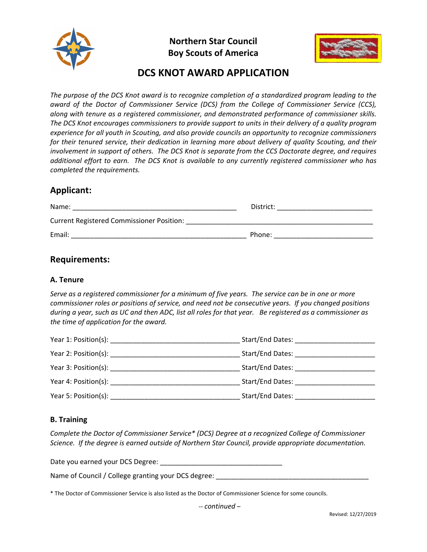

**Northern Star Council Boy Scouts of America**



# **DCS KNOT AWARD APPLICATION**

The purpose of the DCS Knot award is to recognize completion of a standardized program leading to the *award of the Doctor of Commissioner Service (DCS) from the College of Commissioner Service (CCS), along with tenure as a registered commissioner, and demonstrated performance of commissioner skills. The DCS Knot encourages commissioners to provide support to units in their delivery of a quality program experience for all youth in Scouting, and also provide councils an opportunity to recognize commissioners for their tenured service, their dedication in learning more about delivery of quality Scouting, and their* involvement in support of others. The DCS Knot is separate from the CCS Doctorate degree, and requires *additional effort to earn. The DCS Knot is available to any currently registered commissioner who has completed the requirements.*

# **Applicant:**

| Name:                                            | District: |
|--------------------------------------------------|-----------|
| <b>Current Registered Commissioner Position:</b> |           |
| Email:                                           | Phone:    |

# **Requirements:**

#### **A. Tenure**

Serve as a registered commissioner for a minimum of five years. The service can be in one or more *commissioner roles or positions of service, and need not be consecutive years. If you changed positions* during a year, such as UC and then ADC, list all roles for that year. Be registered as a commissioner as *the time of application for the award.*

| Year 1: Position(s):      |                  |
|---------------------------|------------------|
|                           | Start/End Dates: |
| Year 3: Position(s):      | Start/End Dates: |
| Year 4: Position(s):      | Start/End Dates: |
| Year 5: Position(s): 1997 | Start/End Dates: |

#### **B. Training**

*Complete the Doctor of Commissioner Service\* (DCS) Degree at a recognized College of Commissioner Science. If the degree is earned outside of Northern Star Council, provide appropriate documentation.*

Date you earned your DCS Degree: \_\_\_\_\_\_\_\_\_\_\_\_\_\_\_\_\_\_\_\_\_\_\_\_\_\_\_\_\_\_\_\_

Name of Council / College granting your DCS degree:

\* The Doctor of Commissioner Service is also listed as the Doctor of Commissioner Science for some councils.